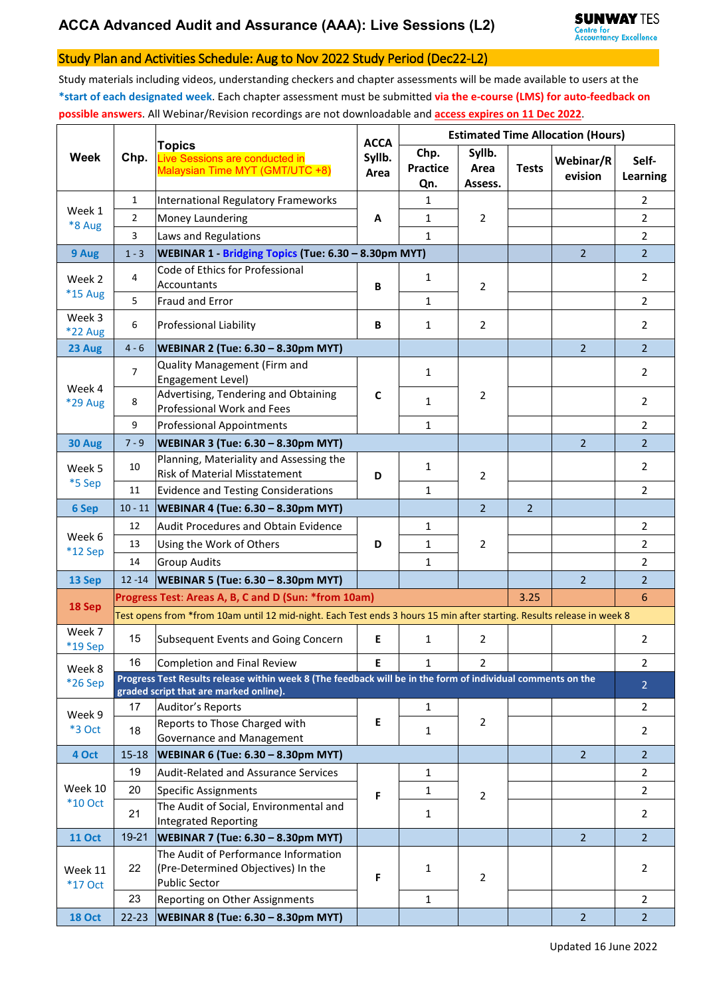## Study Plan and Activities Schedule: Aug to Nov 2022 Study Period (Dec22-L2)

Study materials including videos, understanding checkers and chapter assessments will be made available to users at the **\*start of each designated week**. Each chapter assessment must be submitted **via the e-course (LMS) for auto-feedback on possible answers**. All Webinar/Revision recordings are not downloadable and **access expires on 11 Dec 2022**.

|                           | Chp.                                                                                                                                                  | <b>Topics</b><br>Live Sessions are conducted in<br>Malaysian Time MYT (GMT/UTC +8)                 | <b>ACCA</b><br>Syllb.<br>Area | <b>Estimated Time Allocation (Hours)</b> |                           |                |                      |                   |  |
|---------------------------|-------------------------------------------------------------------------------------------------------------------------------------------------------|----------------------------------------------------------------------------------------------------|-------------------------------|------------------------------------------|---------------------------|----------------|----------------------|-------------------|--|
| <b>Week</b>               |                                                                                                                                                       |                                                                                                    |                               | Chp.<br><b>Practice</b><br>Qn.           | Syllb.<br>Area<br>Assess. | <b>Tests</b>   | Webinar/R<br>evision | Self-<br>Learning |  |
| Week 1<br>*8 Aug          | $\mathbf{1}$                                                                                                                                          | International Regulatory Frameworks                                                                | A                             | $\mathbf{1}$                             |                           |                |                      | $\overline{2}$    |  |
|                           | $\overline{2}$                                                                                                                                        | Money Laundering                                                                                   |                               | 1                                        | $\overline{2}$            |                |                      | $\overline{2}$    |  |
|                           | 3                                                                                                                                                     | Laws and Regulations                                                                               |                               | $\mathbf{1}$                             |                           |                |                      | $\overline{2}$    |  |
| 9 Aug                     | $1 - 3$                                                                                                                                               | WEBINAR 1 - Bridging Topics (Tue: 6.30 - 8.30pm MYT)                                               |                               |                                          |                           |                | $\overline{2}$       | $\overline{2}$    |  |
| Week 2<br>*15 Aug         | 4                                                                                                                                                     | Code of Ethics for Professional                                                                    | B                             | 1                                        | 2                         |                |                      | $\overline{2}$    |  |
|                           |                                                                                                                                                       | Accountants                                                                                        |                               |                                          |                           |                |                      |                   |  |
|                           | 5                                                                                                                                                     | <b>Fraud and Error</b>                                                                             |                               | $\mathbf{1}$                             |                           |                |                      | $\overline{2}$    |  |
| Week 3<br>*22 Aug         | 6                                                                                                                                                     | Professional Liability                                                                             | B                             | $\mathbf{1}$                             | $\overline{2}$            |                |                      | $\overline{2}$    |  |
| 23 Aug                    | $4 - 6$                                                                                                                                               | <b>WEBINAR 2 (Tue: 6.30 - 8.30pm MYT)</b>                                                          |                               |                                          |                           |                | $\overline{2}$       | 2 <sup>1</sup>    |  |
| Week 4<br>*29 Aug         | $\overline{7}$                                                                                                                                        | Quality Management (Firm and<br>Engagement Level)                                                  | C                             | $\mathbf{1}$                             | 2                         |                |                      | $\overline{2}$    |  |
|                           | 8                                                                                                                                                     | Advertising, Tendering and Obtaining<br>Professional Work and Fees                                 |                               | $\mathbf{1}$                             |                           |                |                      | $\overline{2}$    |  |
|                           | 9                                                                                                                                                     | <b>Professional Appointments</b>                                                                   |                               | 1                                        |                           |                |                      | $\overline{2}$    |  |
| 30 Aug                    | $7 - 9$                                                                                                                                               | <b>WEBINAR 3 (Tue: 6.30 - 8.30pm MYT)</b>                                                          |                               |                                          |                           |                | $\overline{2}$       | $\overline{2}$    |  |
| Week 5                    | 10                                                                                                                                                    | Planning, Materiality and Assessing the<br><b>Risk of Material Misstatement</b>                    | D                             | 1                                        | $\overline{2}$            |                |                      | $\overline{2}$    |  |
| *5 Sep                    | 11                                                                                                                                                    | <b>Evidence and Testing Considerations</b>                                                         |                               | 1                                        |                           |                |                      | $\overline{2}$    |  |
| 6 Sep                     | $10 - 11$                                                                                                                                             | <b>WEBINAR 4 (Tue: 6.30 - 8.30pm MYT)</b>                                                          |                               |                                          | $\overline{2}$            | $\overline{2}$ |                      |                   |  |
|                           | 12                                                                                                                                                    | Audit Procedures and Obtain Evidence                                                               | D                             | 1                                        | $\overline{2}$            |                |                      | $\overline{2}$    |  |
| Week 6<br>*12 Sep         | 13                                                                                                                                                    | Using the Work of Others                                                                           |                               | 1                                        |                           |                |                      | $\overline{2}$    |  |
|                           | 14                                                                                                                                                    | <b>Group Audits</b>                                                                                |                               | $\mathbf{1}$                             |                           |                |                      | $\overline{2}$    |  |
| 13 Sep                    | $12 - 14$                                                                                                                                             | <b>WEBINAR 5 (Tue: 6.30 - 8.30pm MYT)</b>                                                          |                               |                                          |                           |                | 2                    | $\overline{2}$    |  |
| 18 Sep                    | Progress Test: Areas A, B, C and D (Sun: *from 10am)<br>3.25                                                                                          |                                                                                                    |                               |                                          |                           |                |                      |                   |  |
|                           | Test opens from *from 10am until 12 mid-night. Each Test ends 3 hours 15 min after starting. Results release in week 8                                |                                                                                                    |                               |                                          |                           |                |                      |                   |  |
| Week 7<br>*19 Sep         | 15                                                                                                                                                    | Subsequent Events and Going Concern                                                                | E                             | $\mathbf{1}$                             | 2                         |                |                      | $\overline{2}$    |  |
| Week 8<br>*26 Sep         | 16                                                                                                                                                    | <b>Completion and Final Review</b>                                                                 | E                             | $\mathbf{1}$                             | $\overline{2}$            |                |                      | $\overline{2}$    |  |
|                           | Progress Test Results release within week 8 (The feedback will be in the form of individual comments on the<br>graded script that are marked online). |                                                                                                    |                               |                                          |                           |                |                      |                   |  |
| Week 9<br>*3 Oct          | 17                                                                                                                                                    | <b>Auditor's Reports</b>                                                                           | E                             | $\mathbf{1}$                             | $\overline{2}$            |                |                      | $\overline{2}$    |  |
|                           | 18                                                                                                                                                    | Reports to Those Charged with<br>Governance and Management                                         |                               | 1                                        |                           |                |                      | $\overline{2}$    |  |
| 4 Oct                     | $15 - 18$                                                                                                                                             | <b>WEBINAR 6 (Tue: 6.30 - 8.30pm MYT)</b>                                                          |                               |                                          |                           |                | $\overline{2}$       | 2 <sup>1</sup>    |  |
|                           | 19                                                                                                                                                    | <b>Audit-Related and Assurance Services</b>                                                        | F                             | 1                                        | $\overline{2}$            |                |                      | $\overline{2}$    |  |
| Week 10                   | 20                                                                                                                                                    | <b>Specific Assignments</b>                                                                        |                               | $\mathbf{1}$                             |                           |                |                      | $\overline{2}$    |  |
| <b>*10 Oct</b>            | 21                                                                                                                                                    | The Audit of Social, Environmental and<br><b>Integrated Reporting</b>                              |                               | 1                                        |                           |                |                      | $\overline{2}$    |  |
| <b>11 Oct</b>             | $19 - 21$                                                                                                                                             | <b>WEBINAR 7 (Tue: 6.30 - 8.30pm MYT)</b>                                                          |                               |                                          |                           |                | 2 <sup>1</sup>       | 2 <sup>1</sup>    |  |
| Week 11<br><b>*17 Oct</b> | 22                                                                                                                                                    | The Audit of Performance Information<br>(Pre-Determined Objectives) In the<br><b>Public Sector</b> | F                             | 1                                        | $\overline{2}$            |                |                      | $\overline{2}$    |  |
|                           | 23                                                                                                                                                    | Reporting on Other Assignments                                                                     |                               | $\mathbf{1}$                             |                           |                |                      | $\overline{2}$    |  |
| <b>18 Oct</b>             | $22 - 23$                                                                                                                                             | <b>WEBINAR 8 (Tue: 6.30 - 8.30pm MYT)</b>                                                          |                               |                                          |                           |                | $\overline{2}$       | 2 <sup>1</sup>    |  |